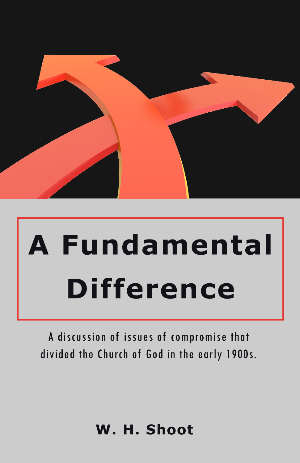

# **A Fundamental Difference**

A discussion of issues of compromise that divided the Church of God in the early 1900s.

# W. H. Shoot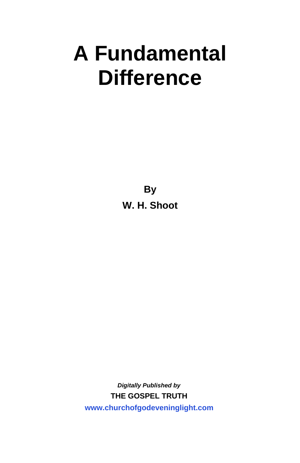# **A Fundamental Difference**

**By W. H. Shoot**

*Digitally Published by*  **THE GOSPEL TRUTH w[ww.churchofgodeveninglight.com](http://www.churchofgodeveninglight.com)**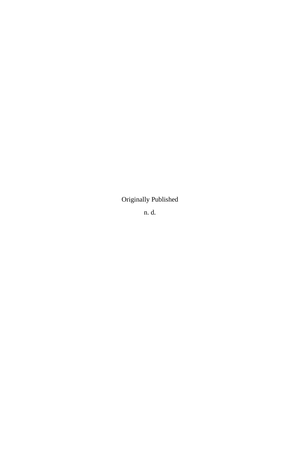Originally Published

n. d.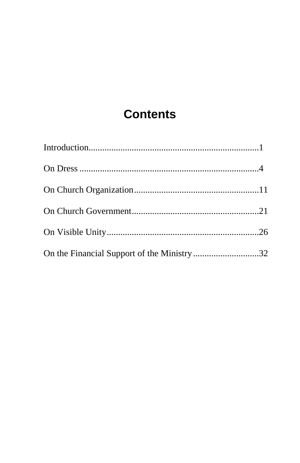# **Contents**

| On the Financial Support of the Ministry 32 |  |
|---------------------------------------------|--|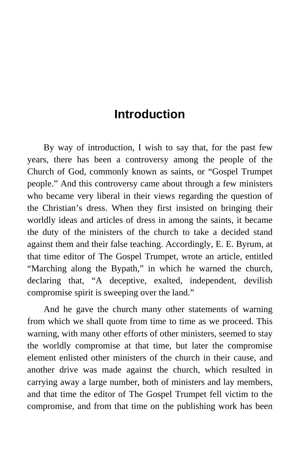# **Introduction**

<span id="page-6-0"></span>By way of introduction, I wish to say that, for the past few years, there has been a controversy among the people of the Church of God, commonly known as saints, or "Gospel Trumpet people." And this controversy came about through a few ministers who became very liberal in their views regarding the question of the Christian's dress. When they first insisted on bringing their worldly ideas and articles of dress in among the saints, it became the duty of the ministers of the church to take a decided stand against them and their false teaching. Accordingly, E. E. Byrum, at that time editor of The Gospel Trumpet, wrote an article, entitled "Marching along the Bypath," in which he warned the church, declaring that, "A deceptive, exalted, independent, devilish compromise spirit is sweeping over the land."

And he gave the church many other statements of warning from which we shall quote from time to time as we proceed. This warning, with many other efforts of other ministers, seemed to stay the worldly compromise at that time, but later the compromise element enlisted other ministers of the church in their cause, and another drive was made against the church, which resulted in carrying away a large number, both of ministers and lay members, and that time the editor of The Gospel Trumpet fell victim to the compromise, and from that time on the publishing work has been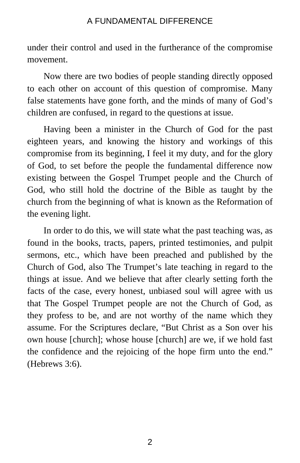under their control and used in the furtherance of the compromise movement.

Now there are two bodies of people standing directly opposed to each other on account of this question of compromise. Many false statements have gone forth, and the minds of many of God's children are confused, in regard to the questions at issue.

Having been a minister in the Church of God for the past eighteen years, and knowing the history and workings of this compromise from its beginning, I feel it my duty, and for the glory of God, to set before the people the fundamental difference now existing between the Gospel Trumpet people and the Church of God, who still hold the doctrine of the Bible as taught by the church from the beginning of what is known as the Reformation of the evening light.

In order to do this, we will state what the past teaching was, as found in the books, tracts, papers, printed testimonies, and pulpit sermons, etc., which have been preached and published by the Church of God, also The Trumpet's late teaching in regard to the things at issue. And we believe that after clearly setting forth the facts of the case, every honest, unbiased soul will agree with us that The Gospel Trumpet people are not the Church of God, as they profess to be, and are not worthy of the name which they assume. For the Scriptures declare, "But Christ as a Son over his own house [church]; whose house [church] are we, if we hold fast the confidence and the rejoicing of the hope firm unto the end." (Hebrews 3:6).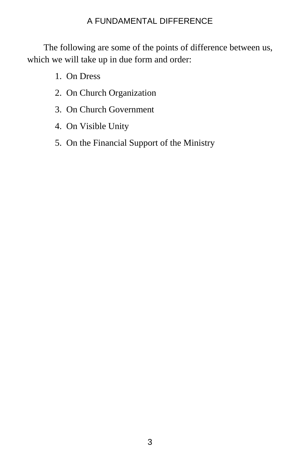The following are some of the points of difference between us, which we will take up in due form and order:

- 1. On Dress
- 2. On Church Organization
- 3. On Church Government
- 4. On Visible Unity
- 5. On the Financial Support of the Ministry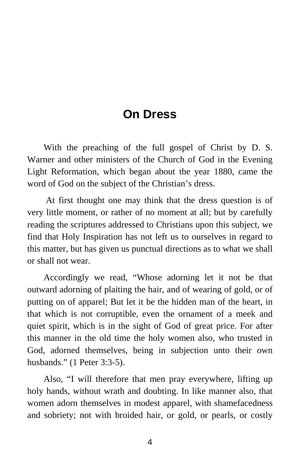## **On Dress**

<span id="page-9-0"></span>With the preaching of the full gospel of Christ by D. S. Warner and other ministers of the Church of God in the Evening Light Reformation, which began about the year 1880, came the word of God on the subject of the Christian's dress.

At first thought one may think that the dress question is of very little moment, or rather of no moment at all; but by carefully reading the scriptures addressed to Christians upon this subject, we find that Holy Inspiration has not left us to ourselves in regard to this matter, but has given us punctual directions as to what we shall or shall not wear.

Accordingly we read, "Whose adorning let it not be that outward adorning of plaiting the hair, and of wearing of gold, or of putting on of apparel; But let it be the hidden man of the heart, in that which is not corruptible, even the ornament of a meek and quiet spirit, which is in the sight of God of great price. For after this manner in the old time the holy women also, who trusted in God, adorned themselves, being in subjection unto their own husbands." (1 Peter 3:3-5).

Also, "I will therefore that men pray everywhere, lifting up holy hands, without wrath and doubting. In like manner also, that women adorn themselves in modest apparel, with shamefacedness and sobriety; not with broided hair, or gold, or pearls, or costly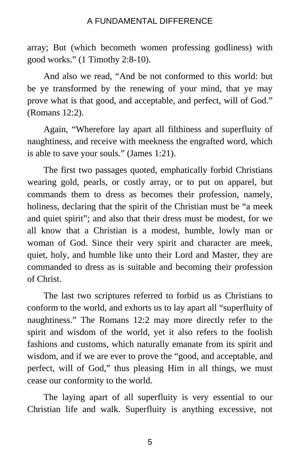array; But (which becometh women professing godliness) with good works." (1 Timothy 2:8-10).

And also we read, "And be not conformed to this world: but be ye transformed by the renewing of your mind, that ye may prove what is that good, and acceptable, and perfect, will of God." (Romans 12:2).

Again, "Wherefore lay apart all filthiness and superfluity of naughtiness, and receive with meekness the engrafted word, which is able to save your souls." (James 1:21).

The first two passages quoted, emphatically forbid Christians wearing gold, pearls, or costly array, or to put on apparel, but commands them to dress as becomes their profession, namely, holiness, declaring that the spirit of the Christian must be "a meek and quiet spirit"; and also that their dress must be modest, for we all know that a Christian is a modest, humble, lowly man or woman of God. Since their very spirit and character are meek, quiet, holy, and humble like unto their Lord and Master, they are commanded to dress as is suitable and becoming their profession of Christ.

The last two scriptures referred to forbid us as Christians to conform to the world, and exhorts us to lay apart all "superfluity of naughtiness." The Romans 12:2 may more directly refer to the spirit and wisdom of the world, yet it also refers to the foolish fashions and customs, which naturally emanate from its spirit and wisdom, and if we are ever to prove the "good, and acceptable, and perfect, will of God," thus pleasing Him in all things, we must cease our conformity to the world.

The laying apart of all superfluity is very essential to our Christian life and walk. Superfluity is anything excessive, not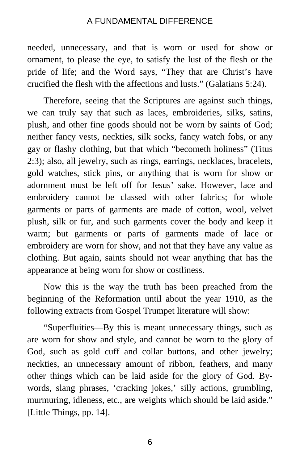needed, unnecessary, and that is worn or used for show or ornament, to please the eye, to satisfy the lust of the flesh or the pride of life; and the Word says, "They that are Christ's have crucified the flesh with the affections and lusts." (Galatians 5:24).

Therefore, seeing that the Scriptures are against such things, we can truly say that such as laces, embroideries, silks, satins, plush, and other fine goods should not be worn by saints of God; neither fancy vests, neckties, silk socks, fancy watch fobs, or any gay or flashy clothing, but that which "becometh holiness" (Titus 2:3); also, all jewelry, such as rings, earrings, necklaces, bracelets, gold watches, stick pins, or anything that is worn for show or adornment must be left off for Jesus' sake. However, lace and embroidery cannot be classed with other fabrics; for whole garments or parts of garments are made of cotton, wool, velvet plush, silk or fur, and such garments cover the body and keep it warm; but garments or parts of garments made of lace or embroidery are worn for show, and not that they have any value as clothing. But again, saints should not wear anything that has the appearance at being worn for show or costliness.

Now this is the way the truth has been preached from the beginning of the Reformation until about the year 1910, as the following extracts from Gospel Trumpet literature will show:

"Superfluities—By this is meant unnecessary things, such as are worn for show and style, and cannot be worn to the glory of God, such as gold cuff and collar buttons, and other jewelry; neckties, an unnecessary amount of ribbon, feathers, and many other things which can be laid aside for the glory of God. Bywords, slang phrases, 'cracking jokes,' silly actions, grumbling, murmuring, idleness, etc., are weights which should be laid aside." [Little Things, pp. 14].

6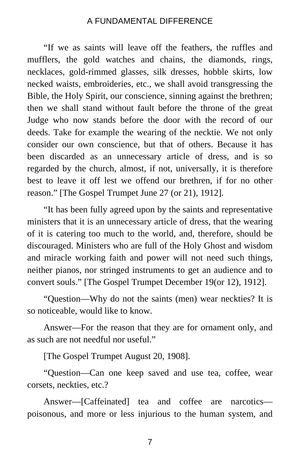"If we as saints will leave off the feathers, the ruffles and mufflers, the gold watches and chains, the diamonds, rings, necklaces, gold-rimmed glasses, silk dresses, hobble skirts, low necked waists, embroideries, etc., we shall avoid transgressing the Bible, the Holy Spirit, our conscience, sinning against the brethren; then we shall stand without fault before the throne of the great Judge who now stands before the door with the record of our deeds. Take for example the wearing of the necktie. We not only consider our own conscience, but that of others. Because it has been discarded as an unnecessary article of dress, and is so regarded by the church, almost, if not, universally, it is therefore best to leave it off lest we offend our brethren, if for no other reason." [The Gospel Trumpet June 27 (or 21), 1912].

"It has been fully agreed upon by the saints and representative ministers that it is an unnecessary article of dress, that the wearing of it is catering too much to the world, and, therefore, should be discouraged. Ministers who are full of the Holy Ghost and wisdom and miracle working faith and power will not need such things, neither pianos, nor stringed instruments to get an audience and to convert souls." [The Gospel Trumpet December 19(or 12), 1912].

"Question—Why do not the saints (men) wear neckties? It is so noticeable, would like to know.

Answer—For the reason that they are for ornament only, and as such are not needful nor useful."

[The Gospel Trumpet August 20, 1908].

"Question—Can one keep saved and use tea, coffee, wear corsets, neckties, etc.?

Answer—[Caffeinated] tea and coffee are narcotics poisonous, and more or less injurious to the human system, and

7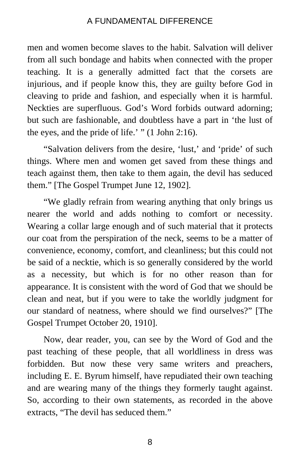men and women become slaves to the habit. Salvation will deliver from all such bondage and habits when connected with the proper teaching. It is a generally admitted fact that the corsets are injurious, and if people know this, they are guilty before God in cleaving to pride and fashion, and especially when it is harmful. Neckties are superfluous. God's Word forbids outward adorning; but such are fashionable, and doubtless have a part in 'the lust of the eyes, and the pride of life.' " (1 John 2:16).

"Salvation delivers from the desire, 'lust,' and 'pride' of such things. Where men and women get saved from these things and teach against them, then take to them again, the devil has seduced them." [The Gospel Trumpet June 12, 1902].

"We gladly refrain from wearing anything that only brings us nearer the world and adds nothing to comfort or necessity. Wearing a collar large enough and of such material that it protects our coat from the perspiration of the neck, seems to be a matter of convenience, economy, comfort, and cleanliness; but this could not be said of a necktie, which is so generally considered by the world as a necessity, but which is for no other reason than for appearance. It is consistent with the word of God that we should be clean and neat, but if you were to take the worldly judgment for our standard of neatness, where should we find ourselves?" [The Gospel Trumpet October 20, 1910].

Now, dear reader, you, can see by the Word of God and the past teaching of these people, that all worldliness in dress was forbidden. But now these very same writers and preachers, including E. E. Byrum himself, have repudiated their own teaching and are wearing many of the things they formerly taught against. So, according to their own statements, as recorded in the above extracts, "The devil has seduced them."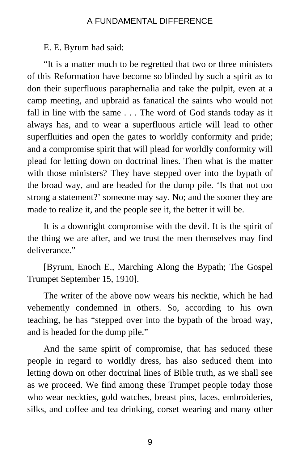E. E. Byrum had said:

"It is a matter much to be regretted that two or three ministers of this Reformation have become so blinded by such a spirit as to don their superfluous paraphernalia and take the pulpit, even at a camp meeting, and upbraid as fanatical the saints who would not fall in line with the same . . . The word of God stands today as it always has, and to wear a superfluous article will lead to other superfluities and open the gates to worldly conformity and pride; and a compromise spirit that will plead for worldly conformity will plead for letting down on doctrinal lines. Then what is the matter with those ministers? They have stepped over into the bypath of the broad way, and are headed for the dump pile. 'Is that not too strong a statement?' someone may say. No; and the sooner they are made to realize it, and the people see it, the better it will be.

It is a downright compromise with the devil. It is the spirit of the thing we are after, and we trust the men themselves may find deliverance."

[Byrum, Enoch E., Marching Along the Bypath; The Gospel Trumpet September 15, 1910].

The writer of the above now wears his necktie, which he had vehemently condemned in others. So, according to his own teaching, he has "stepped over into the bypath of the broad way, and is headed for the dump pile."

And the same spirit of compromise, that has seduced these people in regard to worldly dress, has also seduced them into letting down on other doctrinal lines of Bible truth, as we shall see as we proceed. We find among these Trumpet people today those who wear neckties, gold watches, breast pins, laces, embroideries, silks, and coffee and tea drinking, corset wearing and many other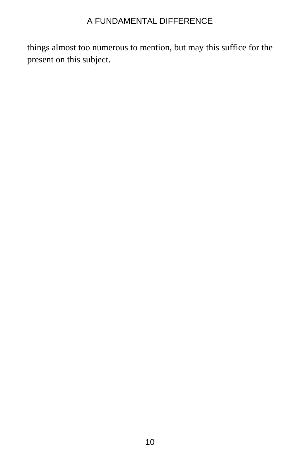things almost too numerous to mention, but may this suffice for the present on this subject.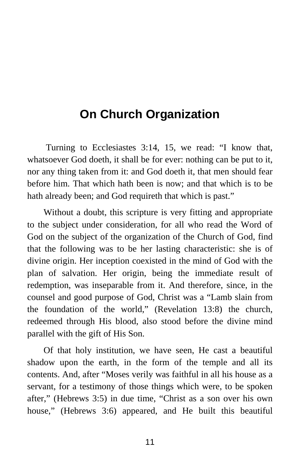# <span id="page-16-0"></span>**On Church Organization**

Turning to Ecclesiastes 3:14, 15, we read: "I know that, whatsoever God doeth, it shall be for ever: nothing can be put to it, nor any thing taken from it: and God doeth it, that men should fear before him. That which hath been is now; and that which is to be hath already been; and God requireth that which is past."

Without a doubt, this scripture is very fitting and appropriate to the subject under consideration, for all who read the Word of God on the subject of the organization of the Church of God, find that the following was to be her lasting characteristic: she is of divine origin. Her inception coexisted in the mind of God with the plan of salvation. Her origin, being the immediate result of redemption, was inseparable from it. And therefore, since, in the counsel and good purpose of God, Christ was a "Lamb slain from the foundation of the world," (Revelation 13:8) the church, redeemed through His blood, also stood before the divine mind parallel with the gift of His Son.

Of that holy institution, we have seen, He cast a beautiful shadow upon the earth, in the form of the temple and all its contents. And, after "Moses verily was faithful in all his house as a servant, for a testimony of those things which were, to be spoken after," (Hebrews 3:5) in due time, "Christ as a son over his own house," (Hebrews 3:6) appeared, and He built this beautiful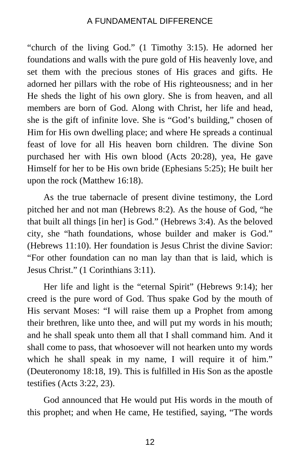"church of the living God." (1 Timothy 3:15). He adorned her foundations and walls with the pure gold of His heavenly love, and set them with the precious stones of His graces and gifts. He adorned her pillars with the robe of His righteousness; and in her He sheds the light of his own glory. She is from heaven, and all members are born of God. Along with Christ, her life and head, she is the gift of infinite love. She is "God's building," chosen of Him for His own dwelling place; and where He spreads a continual feast of love for all His heaven born children. The divine Son purchased her with His own blood (Acts 20:28), yea, He gave Himself for her to be His own bride (Ephesians 5:25); He built her upon the rock (Matthew 16:18).

As the true tabernacle of present divine testimony, the Lord pitched her and not man (Hebrews 8:2). As the house of God, "he that built all things [in her] is God." (Hebrews 3:4). As the beloved city, she "hath foundations, whose builder and maker is God." (Hebrews 11:10). Her foundation is Jesus Christ the divine Savior: "For other foundation can no man lay than that is laid, which is Jesus Christ." (1 Corinthians 3:11).

Her life and light is the "eternal Spirit" (Hebrews 9:14); her creed is the pure word of God. Thus spake God by the mouth of His servant Moses: "I will raise them up a Prophet from among their brethren, like unto thee, and will put my words in his mouth; and he shall speak unto them all that I shall command him. And it shall come to pass, that whosoever will not hearken unto my words which he shall speak in my name, I will require it of him." (Deuteronomy 18:18, 19). This is fulfilled in His Son as the apostle testifies (Acts 3:22, 23).

God announced that He would put His words in the mouth of this prophet; and when He came, He testified, saying, "The words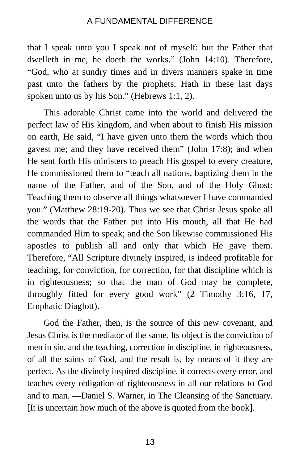that I speak unto you I speak not of myself: but the Father that dwelleth in me, he doeth the works." (John 14:10). Therefore, "God, who at sundry times and in divers manners spake in time past unto the fathers by the prophets, Hath in these last days spoken unto us by his Son." (Hebrews 1:1, 2).

This adorable Christ came into the world and delivered the perfect law of His kingdom, and when about to finish His mission on earth, He said, "I have given unto them the words which thou gavest me; and they have received them" (John 17:8); and when He sent forth His ministers to preach His gospel to every creature, He commissioned them to "teach all nations, baptizing them in the name of the Father, and of the Son, and of the Holy Ghost: Teaching them to observe all things whatsoever I have commanded you." (Matthew 28:19-20). Thus we see that Christ Jesus spoke all the words that the Father put into His mouth, all that He had commanded Him to speak; and the Son likewise commissioned His apostles to publish all and only that which He gave them. Therefore, "All Scripture divinely inspired, is indeed profitable for teaching, for conviction, for correction, for that discipline which is in righteousness; so that the man of God may be complete, throughly fitted for every good work" (2 Timothy 3:16, 17, Emphatic Diaglott).

God the Father, then, is the source of this new covenant, and Jesus Christ is the mediator of the same. Its object is the conviction of men in sin, and the teaching, correction in discipline, in righteousness, of all the saints of God, and the result is, by means of it they are perfect. As the divinely inspired discipline, it corrects every error, and teaches every obligation of righteousness in all our relations to God and to man. —Daniel S. Warner, in The Cleansing of the Sanctuary. [It is uncertain how much of the above is quoted from the book].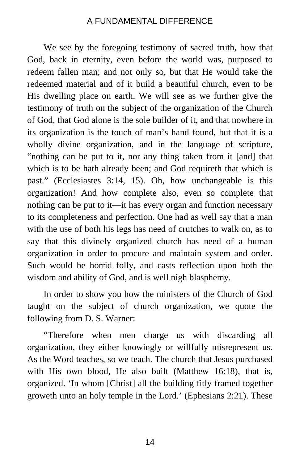We see by the foregoing testimony of sacred truth, how that God, back in eternity, even before the world was, purposed to redeem fallen man; and not only so, but that He would take the redeemed material and of it build a beautiful church, even to be His dwelling place on earth. We will see as we further give the testimony of truth on the subject of the organization of the Church of God, that God alone is the sole builder of it, and that nowhere in its organization is the touch of man's hand found, but that it is a wholly divine organization, and in the language of scripture, "nothing can be put to it, nor any thing taken from it [and] that which is to be hath already been; and God requireth that which is past." (Ecclesiastes 3:14, 15). Oh, how unchangeable is this organization! And how complete also, even so complete that nothing can be put to it—it has every organ and function necessary to its completeness and perfection. One had as well say that a man with the use of both his legs has need of crutches to walk on, as to say that this divinely organized church has need of a human organization in order to procure and maintain system and order. Such would be horrid folly, and casts reflection upon both the wisdom and ability of God, and is well nigh blasphemy.

In order to show you how the ministers of the Church of God taught on the subject of church organization, we quote the following from D. S. Warner:

"Therefore when men charge us with discarding all organization, they either knowingly or willfully misrepresent us. As the Word teaches, so we teach. The church that Jesus purchased with His own blood, He also built (Matthew 16:18), that is, organized. 'In whom [Christ] all the building fitly framed together groweth unto an holy temple in the Lord.' (Ephesians 2:21). These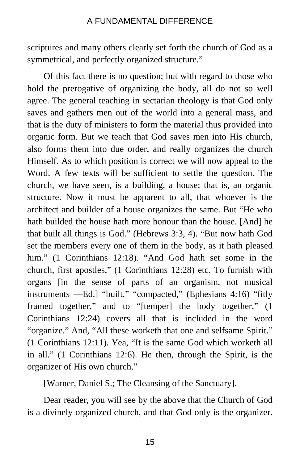scriptures and many others clearly set forth the church of God as a symmetrical, and perfectly organized structure."

Of this fact there is no question; but with regard to those who hold the prerogative of organizing the body, all do not so well agree. The general teaching in sectarian theology is that God only saves and gathers men out of the world into a general mass, and that is the duty of ministers to form the material thus provided into organic form. But we teach that God saves men into His church, also forms them into due order, and really organizes the church Himself. As to which position is correct we will now appeal to the Word. A few texts will be sufficient to settle the question. The church, we have seen, is a building, a house; that is, an organic structure. Now it must be apparent to all, that whoever is the architect and builder of a house organizes the same. But "He who hath builded the house hath more honour than the house. [And] he that built all things is God." (Hebrews 3:3, 4). "But now hath God set the members every one of them in the body, as it hath pleased him." (1 Corinthians 12:18). "And God hath set some in the church, first apostles," (1 Corinthians 12:28) etc. To furnish with organs [in the sense of parts of an organism, not musical instruments —Ed.] "built," "compacted," (Ephesians 4:16) "fitly framed together," and to "[temper] the body together," (1 Corinthians 12:24) covers all that is included in the word "organize." And, "All these worketh that one and selfsame Spirit." (1 Corinthians 12:11). Yea, "It is the same God which worketh all in all." (1 Corinthians 12:6). He then, through the Spirit, is the organizer of His own church."

[Warner, Daniel S.; The Cleansing of the Sanctuary].

Dear reader, you will see by the above that the Church of God is a divinely organized church, and that God only is the organizer.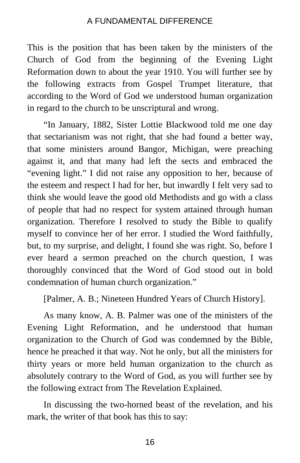This is the position that has been taken by the ministers of the Church of God from the beginning of the Evening Light Reformation down to about the year 1910. You will further see by the following extracts from Gospel Trumpet literature, that according to the Word of God we understood human organization in regard to the church to be unscriptural and wrong.

"In January, 1882, Sister Lottie Blackwood told me one day that sectarianism was not right, that she had found a better way, that some ministers around Bangor, Michigan, were preaching against it, and that many had left the sects and embraced the "evening light." I did not raise any opposition to her, because of the esteem and respect I had for her, but inwardly I felt very sad to think she would leave the good old Methodists and go with a class of people that had no respect for system attained through human organization. Therefore I resolved to study the Bible to qualify myself to convince her of her error. I studied the Word faithfully, but, to my surprise, and delight, I found she was right. So, before I ever heard a sermon preached on the church question, I was thoroughly convinced that the Word of God stood out in bold condemnation of human church organization."

[Palmer, A. B.; Nineteen Hundred Years of Church History].

As many know, A. B. Palmer was one of the ministers of the Evening Light Reformation, and he understood that human organization to the Church of God was condemned by the Bible, hence he preached it that way. Not he only, but all the ministers for thirty years or more held human organization to the church as absolutely contrary to the Word of God, as you will further see by the following extract from The Revelation Explained.

In discussing the two-horned beast of the revelation, and his mark, the writer of that book has this to say: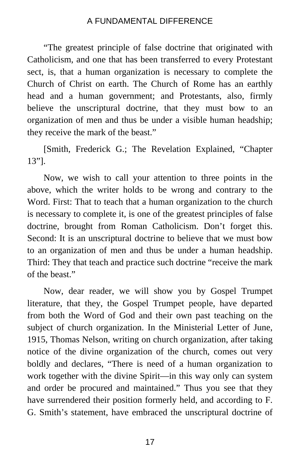"The greatest principle of false doctrine that originated with Catholicism, and one that has been transferred to every Protestant sect, is, that a human organization is necessary to complete the Church of Christ on earth. The Church of Rome has an earthly head and a human government; and Protestants, also, firmly believe the unscriptural doctrine, that they must bow to an organization of men and thus be under a visible human headship; they receive the mark of the beast."

[Smith, Frederick G.; The Revelation Explained, "Chapter 13"].

Now, we wish to call your attention to three points in the above, which the writer holds to be wrong and contrary to the Word. First: That to teach that a human organization to the church is necessary to complete it, is one of the greatest principles of false doctrine, brought from Roman Catholicism. Don't forget this. Second: It is an unscriptural doctrine to believe that we must bow to an organization of men and thus be under a human headship. Third: They that teach and practice such doctrine "receive the mark of the beast."

Now, dear reader, we will show you by Gospel Trumpet literature, that they, the Gospel Trumpet people, have departed from both the Word of God and their own past teaching on the subject of church organization. In the Ministerial Letter of June, 1915, Thomas Nelson, writing on church organization, after taking notice of the divine organization of the church, comes out very boldly and declares, "There is need of a human organization to work together with the divine Spirit—in this way only can system and order be procured and maintained." Thus you see that they have surrendered their position formerly held, and according to F. G. Smith's statement, have embraced the unscriptural doctrine of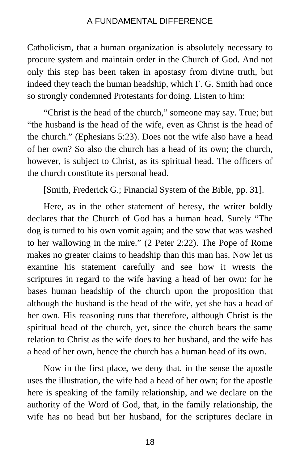Catholicism, that a human organization is absolutely necessary to procure system and maintain order in the Church of God. And not only this step has been taken in apostasy from divine truth, but indeed they teach the human headship, which F. G. Smith had once so strongly condemned Protestants for doing. Listen to him:

"Christ is the head of the church," someone may say. True; but "the husband is the head of the wife, even as Christ is the head of the church." (Ephesians 5:23). Does not the wife also have a head of her own? So also the church has a head of its own; the church, however, is subject to Christ, as its spiritual head. The officers of the church constitute its personal head.

[Smith, Frederick G.; Financial System of the Bible, pp. 31].

Here, as in the other statement of heresy, the writer boldly declares that the Church of God has a human head. Surely "The dog is turned to his own vomit again; and the sow that was washed to her wallowing in the mire." (2 Peter 2:22). The Pope of Rome makes no greater claims to headship than this man has. Now let us examine his statement carefully and see how it wrests the scriptures in regard to the wife having a head of her own: for he bases human headship of the church upon the proposition that although the husband is the head of the wife, yet she has a head of her own. His reasoning runs that therefore, although Christ is the spiritual head of the church, yet, since the church bears the same relation to Christ as the wife does to her husband, and the wife has a head of her own, hence the church has a human head of its own.

Now in the first place, we deny that, in the sense the apostle uses the illustration, the wife had a head of her own; for the apostle here is speaking of the family relationship, and we declare on the authority of the Word of God, that, in the family relationship, the wife has no head but her husband, for the scriptures declare in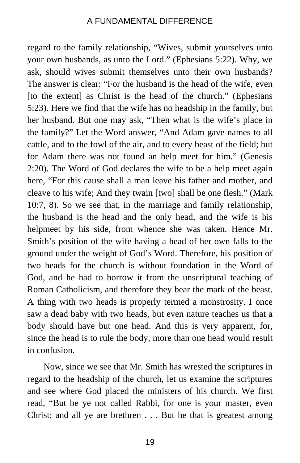regard to the family relationship, "Wives, submit yourselves unto your own husbands, as unto the Lord." (Ephesians 5:22). Why, we ask, should wives submit themselves unto their own husbands? The answer is clear: "For the husband is the head of the wife, even [to the extent] as Christ is the head of the church." (Ephesians 5:23). Here we find that the wife has no headship in the family, but her husband. But one may ask, "Then what is the wife's place in the family?" Let the Word answer, "And Adam gave names to all cattle, and to the fowl of the air, and to every beast of the field; but for Adam there was not found an help meet for him." (Genesis 2:20). The Word of God declares the wife to be a help meet again here, "For this cause shall a man leave his father and mother, and cleave to his wife; And they twain [two] shall be one flesh." (Mark 10:7, 8). So we see that, in the marriage and family relationship, the husband is the head and the only head, and the wife is his helpmeet by his side, from whence she was taken. Hence Mr. Smith's position of the wife having a head of her own falls to the ground under the weight of God's Word. Therefore, his position of two heads for the church is without foundation in the Word of God, and he had to borrow it from the unscriptural teaching of Roman Catholicism, and therefore they bear the mark of the beast. A thing with two heads is properly termed a monstrosity. I once saw a dead baby with two heads, but even nature teaches us that a body should have but one head. And this is very apparent, for, since the head is to rule the body, more than one head would result in confusion.

Now, since we see that Mr. Smith has wrested the scriptures in regard to the headship of the church, let us examine the scriptures and see where God placed the ministers of his church. We first read, "But be ye not called Rabbi, for one is your master, even Christ; and all ye are brethren . . . But he that is greatest among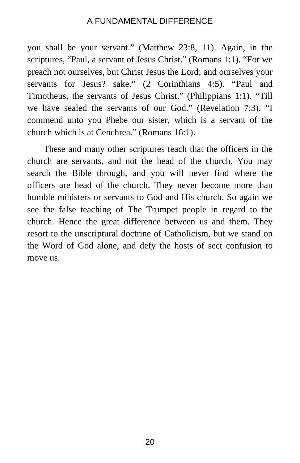you shall be your servant." (Matthew 23:8, 11). Again, in the scriptures, "Paul, a servant of Jesus Christ." (Romans 1:1). "For we preach not ourselves, but Christ Jesus the Lord; and ourselves your servants for Jesus? sake." (2 Corinthians 4:5). "Paul and Timotheus, the servants of Jesus Christ." (Philippians 1:1). "Till we have sealed the servants of our God." (Revelation 7:3). "I commend unto you Phebe our sister, which is a servant of the church which is at Cenchrea." (Romans 16:1).

These and many other scriptures teach that the officers in the church are servants, and not the head of the church. You may search the Bible through, and you will never find where the officers are head of the church. They never become more than humble ministers or servants to God and His church. So again we see the false teaching of The Trumpet people in regard to the church. Hence the great difference between us and them. They resort to the unscriptural doctrine of Catholicism, but we stand on the Word of God alone, and defy the hosts of sect confusion to move us.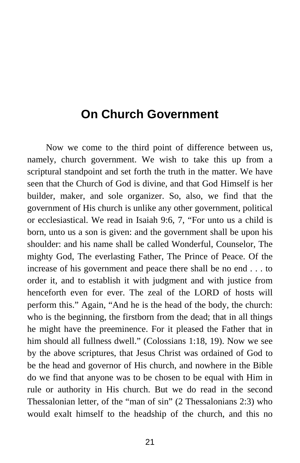# <span id="page-26-0"></span>**On Church Government**

Now we come to the third point of difference between us, namely, church government. We wish to take this up from a scriptural standpoint and set forth the truth in the matter. We have seen that the Church of God is divine, and that God Himself is her builder, maker, and sole organizer. So, also, we find that the government of His church is unlike any other government, political or ecclesiastical. We read in Isaiah 9:6, 7, "For unto us a child is born, unto us a son is given: and the government shall be upon his shoulder: and his name shall be called Wonderful, Counselor, The mighty God, The everlasting Father, The Prince of Peace. Of the increase of his government and peace there shall be no end . . . to order it, and to establish it with judgment and with justice from henceforth even for ever. The zeal of the LORD of hosts will perform this." Again, "And he is the head of the body, the church: who is the beginning, the firstborn from the dead; that in all things he might have the preeminence. For it pleased the Father that in him should all fullness dwell." (Colossians 1:18, 19). Now we see by the above scriptures, that Jesus Christ was ordained of God to be the head and governor of His church, and nowhere in the Bible do we find that anyone was to be chosen to be equal with Him in rule or authority in His church. But we do read in the second Thessalonian letter, of the "man of sin" (2 Thessalonians 2:3) who would exalt himself to the headship of the church, and this no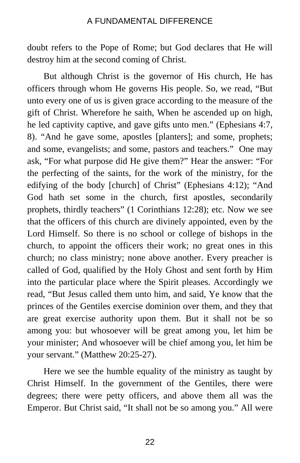doubt refers to the Pope of Rome; but God declares that He will destroy him at the second coming of Christ.

But although Christ is the governor of His church, He has officers through whom He governs His people. So, we read, "But unto every one of us is given grace according to the measure of the gift of Christ. Wherefore he saith, When he ascended up on high, he led captivity captive, and gave gifts unto men." (Ephesians 4:7, 8). "And he gave some, apostles [planters]; and some, prophets; and some, evangelists; and some, pastors and teachers." One may ask, "For what purpose did He give them?" Hear the answer: "For the perfecting of the saints, for the work of the ministry, for the edifying of the body [church] of Christ" (Ephesians 4:12); "And God hath set some in the church, first apostles, secondarily prophets, thirdly teachers" (1 Corinthians 12:28); etc. Now we see that the officers of this church are divinely appointed, even by the Lord Himself. So there is no school or college of bishops in the church, to appoint the officers their work; no great ones in this church; no class ministry; none above another. Every preacher is called of God, qualified by the Holy Ghost and sent forth by Him into the particular place where the Spirit pleases. Accordingly we read, "But Jesus called them unto him, and said, Ye know that the princes of the Gentiles exercise dominion over them, and they that are great exercise authority upon them. But it shall not be so among you: but whosoever will be great among you, let him be your minister; And whosoever will be chief among you, let him be your servant." (Matthew 20:25-27).

Here we see the humble equality of the ministry as taught by Christ Himself. In the government of the Gentiles, there were degrees; there were petty officers, and above them all was the Emperor. But Christ said, "It shall not be so among you." All were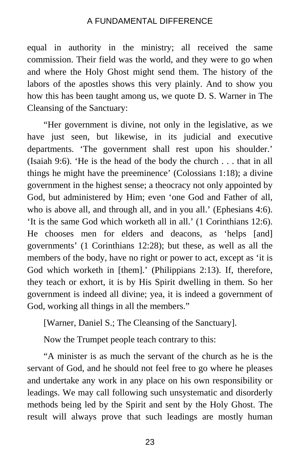equal in authority in the ministry; all received the same commission. Their field was the world, and they were to go when and where the Holy Ghost might send them. The history of the labors of the apostles shows this very plainly. And to show you how this has been taught among us, we quote D. S. Warner in The Cleansing of the Sanctuary:

"Her government is divine, not only in the legislative, as we have just seen, but likewise, in its judicial and executive departments. 'The government shall rest upon his shoulder.' (Isaiah 9:6). 'He is the head of the body the church . . . that in all things he might have the preeminence' (Colossians 1:18); a divine government in the highest sense; a theocracy not only appointed by God, but administered by Him; even 'one God and Father of all, who is above all, and through all, and in you all.' (Ephesians 4:6). 'It is the same God which worketh all in all.' (1 Corinthians 12:6). He chooses men for elders and deacons, as 'helps [and] governments' (1 Corinthians 12:28); but these, as well as all the members of the body, have no right or power to act, except as 'it is God which worketh in [them].' (Philippians 2:13). If, therefore, they teach or exhort, it is by His Spirit dwelling in them. So her government is indeed all divine; yea, it is indeed a government of God, working all things in all the members."

[Warner, Daniel S.; The Cleansing of the Sanctuary].

Now the Trumpet people teach contrary to this:

"A minister is as much the servant of the church as he is the servant of God, and he should not feel free to go where he pleases and undertake any work in any place on his own responsibility or leadings. We may call following such unsystematic and disorderly methods being led by the Spirit and sent by the Holy Ghost. The result will always prove that such leadings are mostly human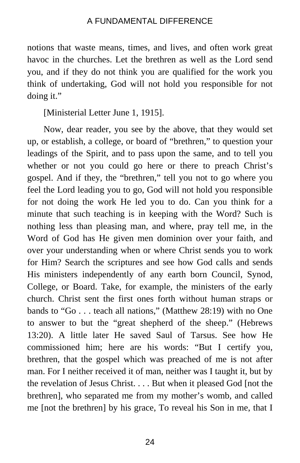notions that waste means, times, and lives, and often work great havoc in the churches. Let the brethren as well as the Lord send you, and if they do not think you are qualified for the work you think of undertaking, God will not hold you responsible for not doing it."

[Ministerial Letter June 1, 1915].

Now, dear reader, you see by the above, that they would set up, or establish, a college, or board of "brethren," to question your leadings of the Spirit, and to pass upon the same, and to tell you whether or not you could go here or there to preach Christ's gospel. And if they, the "brethren," tell you not to go where you feel the Lord leading you to go, God will not hold you responsible for not doing the work He led you to do. Can you think for a minute that such teaching is in keeping with the Word? Such is nothing less than pleasing man, and where, pray tell me, in the Word of God has He given men dominion over your faith, and over your understanding when or where Christ sends you to work for Him? Search the scriptures and see how God calls and sends His ministers independently of any earth born Council, Synod, College, or Board. Take, for example, the ministers of the early church. Christ sent the first ones forth without human straps or bands to "Go . . . teach all nations," (Matthew 28:19) with no One to answer to but the "great shepherd of the sheep." (Hebrews 13:20). A little later He saved Saul of Tarsus. See how He commissioned him; here are his words: "But I certify you, brethren, that the gospel which was preached of me is not after man. For I neither received it of man, neither was I taught it, but by the revelation of Jesus Christ. . . . But when it pleased God [not the brethren], who separated me from my mother's womb, and called me [not the brethren] by his grace, To reveal his Son in me, that I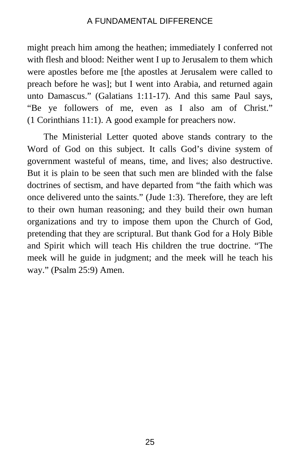might preach him among the heathen; immediately I conferred not with flesh and blood: Neither went I up to Jerusalem to them which were apostles before me [the apostles at Jerusalem were called to preach before he was]; but I went into Arabia, and returned again unto Damascus." (Galatians 1:11-17). And this same Paul says, "Be ye followers of me, even as I also am of Christ." (1 Corinthians 11:1). A good example for preachers now.

The Ministerial Letter quoted above stands contrary to the Word of God on this subject. It calls God's divine system of government wasteful of means, time, and lives; also destructive. But it is plain to be seen that such men are blinded with the false doctrines of sectism, and have departed from "the faith which was once delivered unto the saints." (Jude 1:3). Therefore, they are left to their own human reasoning; and they build their own human organizations and try to impose them upon the Church of God, pretending that they are scriptural. But thank God for a Holy Bible and Spirit which will teach His children the true doctrine. "The meek will he guide in judgment; and the meek will he teach his way." (Psalm 25:9) Amen.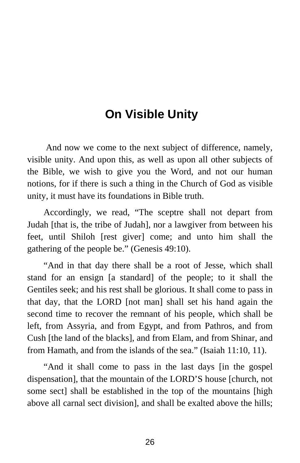# **On Visible Unity**

<span id="page-31-0"></span>And now we come to the next subject of difference, namely, visible unity. And upon this, as well as upon all other subjects of the Bible, we wish to give you the Word, and not our human notions, for if there is such a thing in the Church of God as visible unity, it must have its foundations in Bible truth.

Accordingly, we read, "The sceptre shall not depart from Judah [that is, the tribe of Judah], nor a lawgiver from between his feet, until Shiloh [rest giver] come; and unto him shall the gathering of the people be." (Genesis 49:10).

"And in that day there shall be a root of Jesse, which shall stand for an ensign [a standard] of the people; to it shall the Gentiles seek; and his rest shall be glorious. It shall come to pass in that day, that the LORD [not man] shall set his hand again the second time to recover the remnant of his people, which shall be left, from Assyria, and from Egypt, and from Pathros, and from Cush [the land of the blacks], and from Elam, and from Shinar, and from Hamath, and from the islands of the sea." (Isaiah 11:10, 11).

"And it shall come to pass in the last days [in the gospel dispensation], that the mountain of the LORD'S house [church, not some sect] shall be established in the top of the mountains [high above all carnal sect division], and shall be exalted above the hills;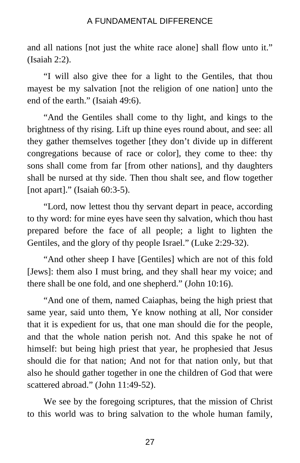and all nations [not just the white race alone] shall flow unto it." (Isaiah 2:2).

"I will also give thee for a light to the Gentiles, that thou mayest be my salvation [not the religion of one nation] unto the end of the earth." (Isaiah 49:6).

"And the Gentiles shall come to thy light, and kings to the brightness of thy rising. Lift up thine eyes round about, and see: all they gather themselves together [they don't divide up in different congregations because of race or color], they come to thee: thy sons shall come from far [from other nations], and thy daughters shall be nursed at thy side. Then thou shalt see, and flow together [not apart]." (Isaiah 60:3-5).

"Lord, now lettest thou thy servant depart in peace, according to thy word: for mine eyes have seen thy salvation, which thou hast prepared before the face of all people; a light to lighten the Gentiles, and the glory of thy people Israel." (Luke 2:29-32).

"And other sheep I have [Gentiles] which are not of this fold [Jews]: them also I must bring, and they shall hear my voice; and there shall be one fold, and one shepherd." (John 10:16).

"And one of them, named Caiaphas, being the high priest that same year, said unto them, Ye know nothing at all, Nor consider that it is expedient for us, that one man should die for the people, and that the whole nation perish not. And this spake he not of himself: but being high priest that year, he prophesied that Jesus should die for that nation; And not for that nation only, but that also he should gather together in one the children of God that were scattered abroad." (John 11:49-52).

We see by the foregoing scriptures, that the mission of Christ to this world was to bring salvation to the whole human family,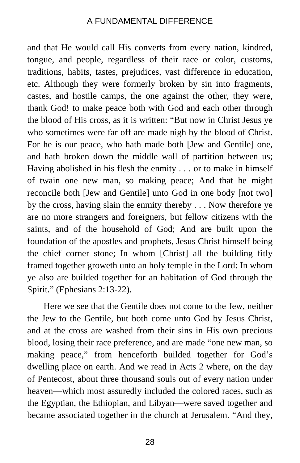and that He would call His converts from every nation, kindred, tongue, and people, regardless of their race or color, customs, traditions, habits, tastes, prejudices, vast difference in education, etc. Although they were formerly broken by sin into fragments, castes, and hostile camps, the one against the other, they were, thank God! to make peace both with God and each other through the blood of His cross, as it is written: "But now in Christ Jesus ye who sometimes were far off are made nigh by the blood of Christ. For he is our peace, who hath made both [Jew and Gentile] one, and hath broken down the middle wall of partition between us; Having abolished in his flesh the enmity . . . or to make in himself of twain one new man, so making peace; And that he might reconcile both [Jew and Gentile] unto God in one body [not two] by the cross, having slain the enmity thereby . . . Now therefore ye are no more strangers and foreigners, but fellow citizens with the saints, and of the household of God; And are built upon the foundation of the apostles and prophets, Jesus Christ himself being the chief corner stone; In whom [Christ] all the building fitly framed together groweth unto an holy temple in the Lord: In whom ye also are builded together for an habitation of God through the Spirit." (Ephesians 2:13-22).

Here we see that the Gentile does not come to the Jew, neither the Jew to the Gentile, but both come unto God by Jesus Christ, and at the cross are washed from their sins in His own precious blood, losing their race preference, and are made "one new man, so making peace," from henceforth builded together for God's dwelling place on earth. And we read in Acts 2 where, on the day of Pentecost, about three thousand souls out of every nation under heaven—which most assuredly included the colored races, such as the Egyptian, the Ethiopian, and Libyan—were saved together and became associated together in the church at Jerusalem. "And they,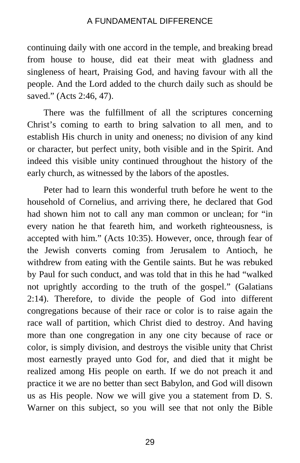continuing daily with one accord in the temple, and breaking bread from house to house, did eat their meat with gladness and singleness of heart, Praising God, and having favour with all the people. And the Lord added to the church daily such as should be saved." (Acts 2:46, 47).

There was the fulfillment of all the scriptures concerning Christ's coming to earth to bring salvation to all men, and to establish His church in unity and oneness; no division of any kind or character, but perfect unity, both visible and in the Spirit. And indeed this visible unity continued throughout the history of the early church, as witnessed by the labors of the apostles.

Peter had to learn this wonderful truth before he went to the household of Cornelius, and arriving there, he declared that God had shown him not to call any man common or unclean; for "in every nation he that feareth him, and worketh righteousness, is accepted with him." (Acts 10:35). However, once, through fear of the Jewish converts coming from Jerusalem to Antioch, he withdrew from eating with the Gentile saints. But he was rebuked by Paul for such conduct, and was told that in this he had "walked not uprightly according to the truth of the gospel." (Galatians 2:14). Therefore, to divide the people of God into different congregations because of their race or color is to raise again the race wall of partition, which Christ died to destroy. And having more than one congregation in any one city because of race or color, is simply division, and destroys the visible unity that Christ most earnestly prayed unto God for, and died that it might be realized among His people on earth. If we do not preach it and practice it we are no better than sect Babylon, and God will disown us as His people. Now we will give you a statement from D. S. Warner on this subject, so you will see that not only the Bible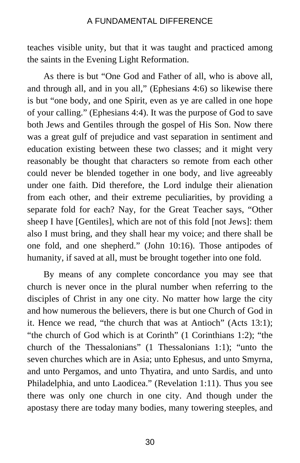teaches visible unity, but that it was taught and practiced among the saints in the Evening Light Reformation.

As there is but "One God and Father of all, who is above all, and through all, and in you all," (Ephesians 4:6) so likewise there is but "one body, and one Spirit, even as ye are called in one hope of your calling." (Ephesians 4:4). It was the purpose of God to save both Jews and Gentiles through the gospel of His Son. Now there was a great gulf of prejudice and vast separation in sentiment and education existing between these two classes; and it might very reasonably be thought that characters so remote from each other could never be blended together in one body, and live agreeably under one faith. Did therefore, the Lord indulge their alienation from each other, and their extreme peculiarities, by providing a separate fold for each? Nay, for the Great Teacher says, "Other sheep I have [Gentiles], which are not of this fold [not Jews]: them also I must bring, and they shall hear my voice; and there shall be one fold, and one shepherd." (John 10:16). Those antipodes of humanity, if saved at all, must be brought together into one fold.

By means of any complete concordance you may see that church is never once in the plural number when referring to the disciples of Christ in any one city. No matter how large the city and how numerous the believers, there is but one Church of God in it. Hence we read, "the church that was at Antioch" (Acts 13:1); "the church of God which is at Corinth" (1 Corinthians 1:2); "the church of the Thessalonians" (1 Thessalonians 1:1); "unto the seven churches which are in Asia; unto Ephesus, and unto Smyrna, and unto Pergamos, and unto Thyatira, and unto Sardis, and unto Philadelphia, and unto Laodicea." (Revelation 1:11). Thus you see there was only one church in one city. And though under the apostasy there are today many bodies, many towering steeples, and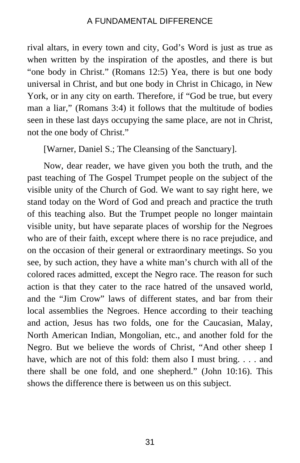rival altars, in every town and city, God's Word is just as true as when written by the inspiration of the apostles, and there is but "one body in Christ." (Romans 12:5) Yea, there is but one body universal in Christ, and but one body in Christ in Chicago, in New York, or in any city on earth. Therefore, if "God be true, but every man a liar," (Romans 3:4) it follows that the multitude of bodies seen in these last days occupying the same place, are not in Christ, not the one body of Christ."

[Warner, Daniel S.; The Cleansing of the Sanctuary].

Now, dear reader, we have given you both the truth, and the past teaching of The Gospel Trumpet people on the subject of the visible unity of the Church of God. We want to say right here, we stand today on the Word of God and preach and practice the truth of this teaching also. But the Trumpet people no longer maintain visible unity, but have separate places of worship for the Negroes who are of their faith, except where there is no race prejudice, and on the occasion of their general or extraordinary meetings. So you see, by such action, they have a white man's church with all of the colored races admitted, except the Negro race. The reason for such action is that they cater to the race hatred of the unsaved world, and the "Jim Crow" laws of different states, and bar from their local assemblies the Negroes. Hence according to their teaching and action, Jesus has two folds, one for the Caucasian, Malay, North American Indian, Mongolian, etc., and another fold for the Negro. But we believe the words of Christ, "And other sheep I have, which are not of this fold: them also I must bring. . . . and there shall be one fold, and one shepherd." (John 10:16). This shows the difference there is between us on this subject.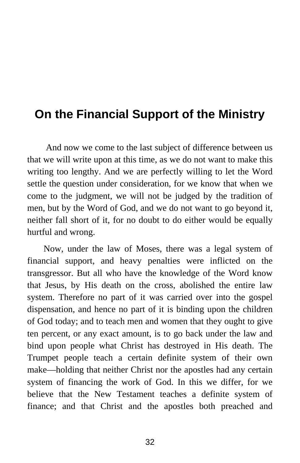# <span id="page-37-0"></span>**On the Financial Support of the Ministry**

And now we come to the last subject of difference between us that we will write upon at this time, as we do not want to make this writing too lengthy. And we are perfectly willing to let the Word settle the question under consideration, for we know that when we come to the judgment, we will not be judged by the tradition of men, but by the Word of God, and we do not want to go beyond it, neither fall short of it, for no doubt to do either would be equally hurtful and wrong.

Now, under the law of Moses, there was a legal system of financial support, and heavy penalties were inflicted on the transgressor. But all who have the knowledge of the Word know that Jesus, by His death on the cross, abolished the entire law system. Therefore no part of it was carried over into the gospel dispensation, and hence no part of it is binding upon the children of God today; and to teach men and women that they ought to give ten percent, or any exact amount, is to go back under the law and bind upon people what Christ has destroyed in His death. The Trumpet people teach a certain definite system of their own make—holding that neither Christ nor the apostles had any certain system of financing the work of God. In this we differ, for we believe that the New Testament teaches a definite system of finance; and that Christ and the apostles both preached and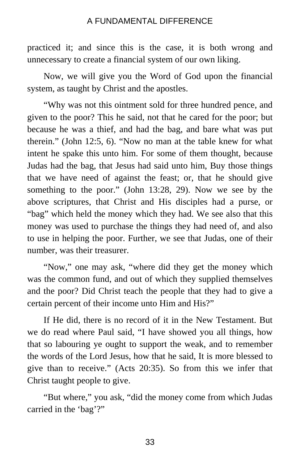practiced it; and since this is the case, it is both wrong and unnecessary to create a financial system of our own liking.

Now, we will give you the Word of God upon the financial system, as taught by Christ and the apostles.

"Why was not this ointment sold for three hundred pence, and given to the poor? This he said, not that he cared for the poor; but because he was a thief, and had the bag, and bare what was put therein." (John 12:5, 6). "Now no man at the table knew for what intent he spake this unto him. For some of them thought, because Judas had the bag, that Jesus had said unto him, Buy those things that we have need of against the feast; or, that he should give something to the poor." (John 13:28, 29). Now we see by the above scriptures, that Christ and His disciples had a purse, or "bag" which held the money which they had. We see also that this money was used to purchase the things they had need of, and also to use in helping the poor. Further, we see that Judas, one of their number, was their treasurer.

"Now," one may ask, "where did they get the money which was the common fund, and out of which they supplied themselves and the poor? Did Christ teach the people that they had to give a certain percent of their income unto Him and His?"

If He did, there is no record of it in the New Testament. But we do read where Paul said, "I have showed you all things, how that so labouring ye ought to support the weak, and to remember the words of the Lord Jesus, how that he said, It is more blessed to give than to receive." (Acts 20:35). So from this we infer that Christ taught people to give.

"But where," you ask, "did the money come from which Judas carried in the 'bag'?"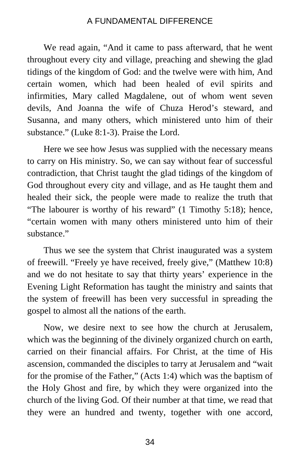We read again, "And it came to pass afterward, that he went throughout every city and village, preaching and shewing the glad tidings of the kingdom of God: and the twelve were with him, And certain women, which had been healed of evil spirits and infirmities, Mary called Magdalene, out of whom went seven devils, And Joanna the wife of Chuza Herod's steward, and Susanna, and many others, which ministered unto him of their substance." (Luke 8:1-3). Praise the Lord.

Here we see how Jesus was supplied with the necessary means to carry on His ministry. So, we can say without fear of successful contradiction, that Christ taught the glad tidings of the kingdom of God throughout every city and village, and as He taught them and healed their sick, the people were made to realize the truth that "The labourer is worthy of his reward" (1 Timothy 5:18); hence, "certain women with many others ministered unto him of their substance."

Thus we see the system that Christ inaugurated was a system of freewill. "Freely ye have received, freely give," (Matthew 10:8) and we do not hesitate to say that thirty years' experience in the Evening Light Reformation has taught the ministry and saints that the system of freewill has been very successful in spreading the gospel to almost all the nations of the earth.

Now, we desire next to see how the church at Jerusalem, which was the beginning of the divinely organized church on earth, carried on their financial affairs. For Christ, at the time of His ascension, commanded the disciples to tarry at Jerusalem and "wait for the promise of the Father," (Acts 1:4) which was the baptism of the Holy Ghost and fire, by which they were organized into the church of the living God. Of their number at that time, we read that they were an hundred and twenty, together with one accord,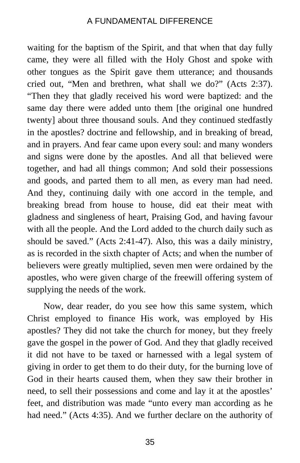waiting for the baptism of the Spirit, and that when that day fully came, they were all filled with the Holy Ghost and spoke with other tongues as the Spirit gave them utterance; and thousands cried out, "Men and brethren, what shall we do?" (Acts 2:37). "Then they that gladly received his word were baptized: and the same day there were added unto them [the original one hundred twenty] about three thousand souls. And they continued stedfastly in the apostles? doctrine and fellowship, and in breaking of bread, and in prayers. And fear came upon every soul: and many wonders and signs were done by the apostles. And all that believed were together, and had all things common; And sold their possessions and goods, and parted them to all men, as every man had need. And they, continuing daily with one accord in the temple, and breaking bread from house to house, did eat their meat with gladness and singleness of heart, Praising God, and having favour with all the people. And the Lord added to the church daily such as should be saved." (Acts 2:41-47). Also, this was a daily ministry, as is recorded in the sixth chapter of Acts; and when the number of believers were greatly multiplied, seven men were ordained by the apostles, who were given charge of the freewill offering system of supplying the needs of the work.

Now, dear reader, do you see how this same system, which Christ employed to finance His work, was employed by His apostles? They did not take the church for money, but they freely gave the gospel in the power of God. And they that gladly received it did not have to be taxed or harnessed with a legal system of giving in order to get them to do their duty, for the burning love of God in their hearts caused them, when they saw their brother in need, to sell their possessions and come and lay it at the apostles' feet, and distribution was made "unto every man according as he had need." (Acts 4:35). And we further declare on the authority of

35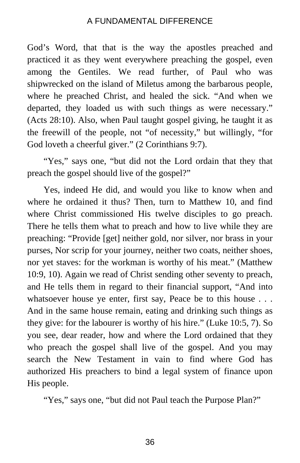God's Word, that that is the way the apostles preached and practiced it as they went everywhere preaching the gospel, even among the Gentiles. We read further, of Paul who was shipwrecked on the island of Miletus among the barbarous people, where he preached Christ, and healed the sick. "And when we departed, they loaded us with such things as were necessary." (Acts 28:10). Also, when Paul taught gospel giving, he taught it as the freewill of the people, not "of necessity," but willingly, "for God loveth a cheerful giver." (2 Corinthians 9:7).

"Yes," says one, "but did not the Lord ordain that they that preach the gospel should live of the gospel?"

Yes, indeed He did, and would you like to know when and where he ordained it thus? Then, turn to Matthew 10, and find where Christ commissioned His twelve disciples to go preach. There he tells them what to preach and how to live while they are preaching: "Provide [get] neither gold, nor silver, nor brass in your purses, Nor scrip for your journey, neither two coats, neither shoes, nor yet staves: for the workman is worthy of his meat." (Matthew 10:9, 10). Again we read of Christ sending other seventy to preach, and He tells them in regard to their financial support, "And into whatsoever house ye enter, first say, Peace be to this house . . . And in the same house remain, eating and drinking such things as they give: for the labourer is worthy of his hire." (Luke 10:5, 7). So you see, dear reader, how and where the Lord ordained that they who preach the gospel shall live of the gospel. And you may search the New Testament in vain to find where God has authorized His preachers to bind a legal system of finance upon His people.

"Yes," says one, "but did not Paul teach the Purpose Plan?"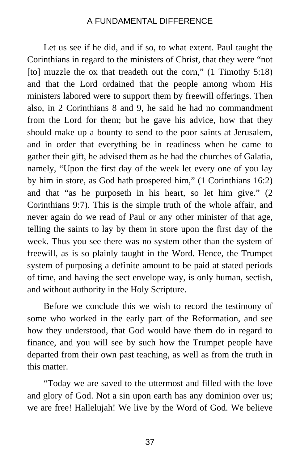Let us see if he did, and if so, to what extent. Paul taught the Corinthians in regard to the ministers of Christ, that they were "not [to] muzzle the ox that treadeth out the corn," (1 Timothy 5:18) and that the Lord ordained that the people among whom His ministers labored were to support them by freewill offerings. Then also, in 2 Corinthians 8 and 9, he said he had no commandment from the Lord for them; but he gave his advice, how that they should make up a bounty to send to the poor saints at Jerusalem, and in order that everything be in readiness when he came to gather their gift, he advised them as he had the churches of Galatia, namely, "Upon the first day of the week let every one of you lay by him in store, as God hath prospered him," (1 Corinthians 16:2) and that "as he purposeth in his heart, so let him give." (2 Corinthians 9:7). This is the simple truth of the whole affair, and never again do we read of Paul or any other minister of that age, telling the saints to lay by them in store upon the first day of the week. Thus you see there was no system other than the system of freewill, as is so plainly taught in the Word. Hence, the Trumpet system of purposing a definite amount to be paid at stated periods of time, and having the sect envelope way, is only human, sectish, and without authority in the Holy Scripture.

Before we conclude this we wish to record the testimony of some who worked in the early part of the Reformation, and see how they understood, that God would have them do in regard to finance, and you will see by such how the Trumpet people have departed from their own past teaching, as well as from the truth in this matter.

"Today we are saved to the uttermost and filled with the love and glory of God. Not a sin upon earth has any dominion over us; we are free! Hallelujah! We live by the Word of God. We believe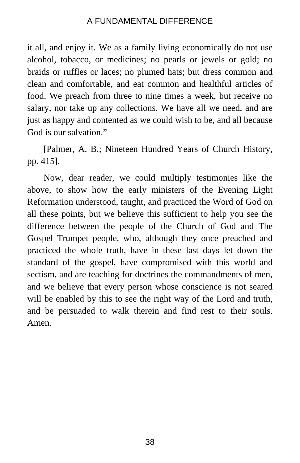it all, and enjoy it. We as a family living economically do not use alcohol, tobacco, or medicines; no pearls or jewels or gold; no braids or ruffles or laces; no plumed hats; but dress common and clean and comfortable, and eat common and healthful articles of food. We preach from three to nine times a week, but receive no salary, nor take up any collections. We have all we need, and are just as happy and contented as we could wish to be, and all because God is our salvation."

[Palmer, A. B.; Nineteen Hundred Years of Church History, pp. 415].

Now, dear reader, we could multiply testimonies like the above, to show how the early ministers of the Evening Light Reformation understood, taught, and practiced the Word of God on all these points, but we believe this sufficient to help you see the difference between the people of the Church of God and The Gospel Trumpet people, who, although they once preached and practiced the whole truth, have in these last days let down the standard of the gospel, have compromised with this world and sectism, and are teaching for doctrines the commandments of men, and we believe that every person whose conscience is not seared will be enabled by this to see the right way of the Lord and truth, and be persuaded to walk therein and find rest to their souls. Amen.